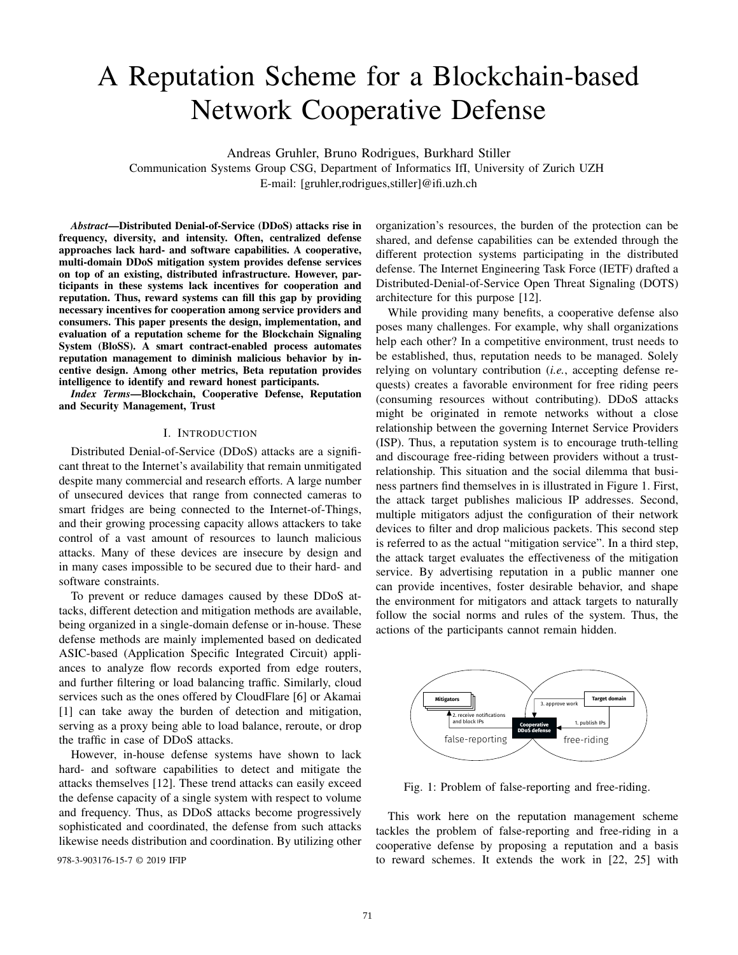# A Reputation Scheme for a Blockchain-based Network Cooperative Defense

Andreas Gruhler, Bruno Rodrigues, Burkhard Stiller

Communication Systems Group CSG, Department of Informatics IfI, University of Zurich UZH E-mail: [gruhler,rodrigues,stiller]@ifi.uzh.ch

*Abstract*—Distributed Denial-of-Service (DDoS) attacks rise in frequency, diversity, and intensity. Often, centralized defense approaches lack hard- and software capabilities. A cooperative, multi-domain DDoS mitigation system provides defense services on top of an existing, distributed infrastructure. However, participants in these systems lack incentives for cooperation and reputation. Thus, reward systems can fill this gap by providing necessary incentives for cooperation among service providers and consumers. This paper presents the design, implementation, and evaluation of a reputation scheme for the Blockchain Signaling System (BloSS). A smart contract-enabled process automates reputation management to diminish malicious behavior by incentive design. Among other metrics, Beta reputation provides intelligence to identify and reward honest participants.

*Index Terms*—Blockchain, Cooperative Defense, Reputation and Security Management, Trust

# I. INTRODUCTION

Distributed Denial-of-Service (DDoS) attacks are a significant threat to the Internet's availability that remain unmitigated despite many commercial and research efforts. A large number of unsecured devices that range from connected cameras to smart fridges are being connected to the Internet-of-Things, and their growing processing capacity allows attackers to take control of a vast amount of resources to launch malicious attacks. Many of these devices are insecure by design and in many cases impossible to be secured due to their hard- and software constraints.

To prevent or reduce damages caused by these DDoS attacks, different detection and mitigation methods are available, being organized in a single-domain defense or in-house. These defense methods are mainly implemented based on dedicated ASIC-based (Application Specific Integrated Circuit) appliances to analyze flow records exported from edge routers, and further filtering or load balancing traffic. Similarly, cloud services such as the ones offered by CloudFlare [6] or Akamai [1] can take away the burden of detection and mitigation, serving as a proxy being able to load balance, reroute, or drop the traffic in case of DDoS attacks.

However, in-house defense systems have shown to lack hard- and software capabilities to detect and mitigate the attacks themselves [12]. These trend attacks can easily exceed the defense capacity of a single system with respect to volume and frequency. Thus, as DDoS attacks become progressively sophisticated and coordinated, the defense from such attacks likewise needs distribution and coordination. By utilizing other

organization's resources, the burden of the protection can be shared, and defense capabilities can be extended through the different protection systems participating in the distributed defense. The Internet Engineering Task Force (IETF) drafted a Distributed-Denial-of-Service Open Threat Signaling (DOTS) architecture for this purpose [12].

While providing many benefits, a cooperative defense also poses many challenges. For example, why shall organizations help each other? In a competitive environment, trust needs to be established, thus, reputation needs to be managed. Solely relying on voluntary contribution (*i.e.*, accepting defense requests) creates a favorable environment for free riding peers (consuming resources without contributing). DDoS attacks might be originated in remote networks without a close relationship between the governing Internet Service Providers (ISP). Thus, a reputation system is to encourage truth-telling and discourage free-riding between providers without a trustrelationship. This situation and the social dilemma that business partners find themselves in is illustrated in Figure 1. First, the attack target publishes malicious IP addresses. Second, multiple mitigators adjust the configuration of their network devices to filter and drop malicious packets. This second step is referred to as the actual "mitigation service". In a third step, the attack target evaluates the effectiveness of the mitigation service. By advertising reputation in a public manner one can provide incentives, foster desirable behavior, and shape the environment for mitigators and attack targets to naturally follow the social norms and rules of the system. Thus, the actions of the participants cannot remain hidden.



Fig. 1: Problem of false-reporting and free-riding.

This work here on the reputation management scheme tackles the problem of false-reporting and free-riding in a cooperative defense by proposing a reputation and a basis 978-3-903176-15-7 © 2019 IFIP to reward schemes. It extends the work in [22, 25] with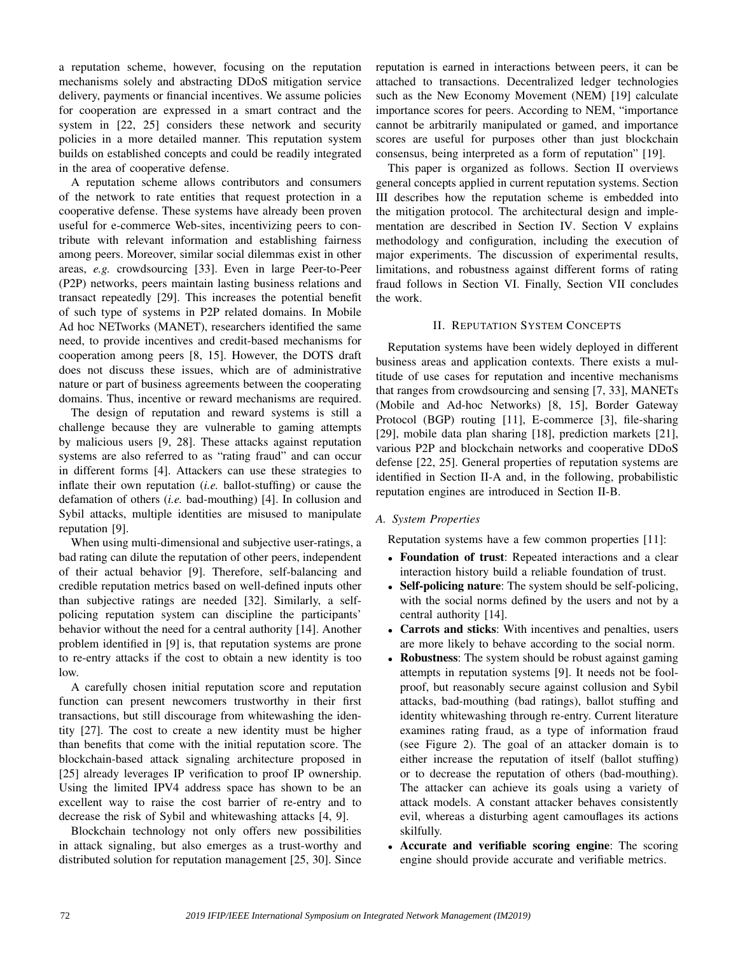a reputation scheme, however, focusing on the reputation mechanisms solely and abstracting DDoS mitigation service delivery, payments or financial incentives. We assume policies for cooperation are expressed in a smart contract and the system in [22, 25] considers these network and security policies in a more detailed manner. This reputation system builds on established concepts and could be readily integrated in the area of cooperative defense.

A reputation scheme allows contributors and consumers of the network to rate entities that request protection in a cooperative defense. These systems have already been proven useful for e-commerce Web-sites, incentivizing peers to contribute with relevant information and establishing fairness among peers. Moreover, similar social dilemmas exist in other areas, *e.g.* crowdsourcing [33]. Even in large Peer-to-Peer (P2P) networks, peers maintain lasting business relations and transact repeatedly [29]. This increases the potential benefit of such type of systems in P2P related domains. In Mobile Ad hoc NETworks (MANET), researchers identified the same need, to provide incentives and credit-based mechanisms for cooperation among peers [8, 15]. However, the DOTS draft does not discuss these issues, which are of administrative nature or part of business agreements between the cooperating domains. Thus, incentive or reward mechanisms are required.

The design of reputation and reward systems is still a challenge because they are vulnerable to gaming attempts by malicious users [9, 28]. These attacks against reputation systems are also referred to as "rating fraud" and can occur in different forms [4]. Attackers can use these strategies to inflate their own reputation (*i.e.* ballot-stuffing) or cause the defamation of others (*i.e.* bad-mouthing) [4]. In collusion and Sybil attacks, multiple identities are misused to manipulate reputation [9].

When using multi-dimensional and subjective user-ratings, a bad rating can dilute the reputation of other peers, independent of their actual behavior [9]. Therefore, self-balancing and credible reputation metrics based on well-defined inputs other than subjective ratings are needed [32]. Similarly, a selfpolicing reputation system can discipline the participants' behavior without the need for a central authority [14]. Another problem identified in [9] is, that reputation systems are prone to re-entry attacks if the cost to obtain a new identity is too low.

A carefully chosen initial reputation score and reputation function can present newcomers trustworthy in their first transactions, but still discourage from whitewashing the identity [27]. The cost to create a new identity must be higher than benefits that come with the initial reputation score. The blockchain-based attack signaling architecture proposed in [25] already leverages IP verification to proof IP ownership. Using the limited IPV4 address space has shown to be an excellent way to raise the cost barrier of re-entry and to decrease the risk of Sybil and whitewashing attacks [4, 9].

Blockchain technology not only offers new possibilities in attack signaling, but also emerges as a trust-worthy and distributed solution for reputation management [25, 30]. Since reputation is earned in interactions between peers, it can be attached to transactions. Decentralized ledger technologies such as the New Economy Movement (NEM) [19] calculate importance scores for peers. According to NEM, "importance cannot be arbitrarily manipulated or gamed, and importance scores are useful for purposes other than just blockchain consensus, being interpreted as a form of reputation" [19].

This paper is organized as follows. Section II overviews general concepts applied in current reputation systems. Section III describes how the reputation scheme is embedded into the mitigation protocol. The architectural design and implementation are described in Section IV. Section V explains methodology and configuration, including the execution of major experiments. The discussion of experimental results, limitations, and robustness against different forms of rating fraud follows in Section VI. Finally, Section VII concludes the work.

# II. REPUTATION SYSTEM CONCEPTS

Reputation systems have been widely deployed in different business areas and application contexts. There exists a multitude of use cases for reputation and incentive mechanisms that ranges from crowdsourcing and sensing [7, 33], MANETs (Mobile and Ad-hoc Networks) [8, 15], Border Gateway Protocol (BGP) routing [11], E-commerce [3], file-sharing [29], mobile data plan sharing [18], prediction markets [21], various P2P and blockchain networks and cooperative DDoS defense [22, 25]. General properties of reputation systems are identified in Section II-A and, in the following, probabilistic reputation engines are introduced in Section II-B.

# *A. System Properties*

Reputation systems have a few common properties [11]:

- Foundation of trust: Repeated interactions and a clear interaction history build a reliable foundation of trust.
- Self-policing nature: The system should be self-policing, with the social norms defined by the users and not by a central authority [14].
- Carrots and sticks: With incentives and penalties, users are more likely to behave according to the social norm.
- **Robustness**: The system should be robust against gaming attempts in reputation systems [9]. It needs not be foolproof, but reasonably secure against collusion and Sybil attacks, bad-mouthing (bad ratings), ballot stuffing and identity whitewashing through re-entry. Current literature examines rating fraud, as a type of information fraud (see Figure 2). The goal of an attacker domain is to either increase the reputation of itself (ballot stuffing) or to decrease the reputation of others (bad-mouthing). The attacker can achieve its goals using a variety of attack models. A constant attacker behaves consistently evil, whereas a disturbing agent camouflages its actions skilfully.
- Accurate and verifiable scoring engine: The scoring engine should provide accurate and verifiable metrics.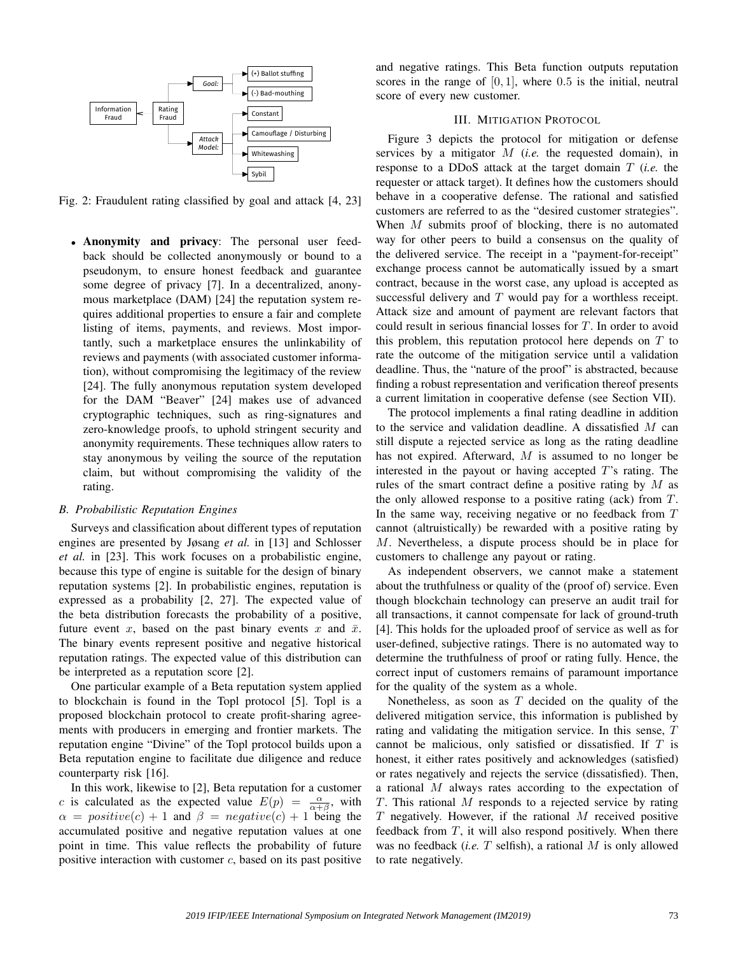

Fig. 2: Fraudulent rating classified by goal and attack [4, 23]

• Anonymity and privacy: The personal user feedback should be collected anonymously or bound to a pseudonym, to ensure honest feedback and guarantee some degree of privacy [7]. In a decentralized, anonymous marketplace (DAM) [24] the reputation system requires additional properties to ensure a fair and complete listing of items, payments, and reviews. Most importantly, such a marketplace ensures the unlinkability of reviews and payments (with associated customer information), without compromising the legitimacy of the review [24]. The fully anonymous reputation system developed for the DAM "Beaver" [24] makes use of advanced cryptographic techniques, such as ring-signatures and zero-knowledge proofs, to uphold stringent security and anonymity requirements. These techniques allow raters to stay anonymous by veiling the source of the reputation claim, but without compromising the validity of the rating.

# *B. Probabilistic Reputation Engines*

Surveys and classification about different types of reputation engines are presented by Jøsang *et al.* in [13] and Schlosser *et al.* in [23]. This work focuses on a probabilistic engine, because this type of engine is suitable for the design of binary reputation systems [2]. In probabilistic engines, reputation is expressed as a probability [2, 27]. The expected value of the beta distribution forecasts the probability of a positive, future event x, based on the past binary events x and  $\bar{x}$ . The binary events represent positive and negative historical reputation ratings. The expected value of this distribution can be interpreted as a reputation score [2].

One particular example of a Beta reputation system applied to blockchain is found in the Topl protocol [5]. Topl is a proposed blockchain protocol to create profit-sharing agreements with producers in emerging and frontier markets. The reputation engine "Divine" of the Topl protocol builds upon a Beta reputation engine to facilitate due diligence and reduce counterparty risk [16].

In this work, likewise to [2], Beta reputation for a customer c is calculated as the expected value  $E(p) = \frac{\alpha}{\alpha + \beta}$ , with  $\alpha = positive(c) + 1$  and  $\beta = negative(c) + 1$  being the accumulated positive and negative reputation values at one point in time. This value reflects the probability of future positive interaction with customer  $c$ , based on its past positive and negative ratings. This Beta function outputs reputation scores in the range of  $[0, 1]$ , where 0.5 is the initial, neutral score of every new customer.

# III. MITIGATION PROTOCOL

Figure 3 depicts the protocol for mitigation or defense services by a mitigator M (*i.e.* the requested domain), in response to a DDoS attack at the target domain T (*i.e.* the requester or attack target). It defines how the customers should behave in a cooperative defense. The rational and satisfied customers are referred to as the "desired customer strategies". When M submits proof of blocking, there is no automated way for other peers to build a consensus on the quality of the delivered service. The receipt in a "payment-for-receipt" exchange process cannot be automatically issued by a smart contract, because in the worst case, any upload is accepted as successful delivery and  $T$  would pay for a worthless receipt. Attack size and amount of payment are relevant factors that could result in serious financial losses for T. In order to avoid this problem, this reputation protocol here depends on  $T$  to rate the outcome of the mitigation service until a validation deadline. Thus, the "nature of the proof" is abstracted, because finding a robust representation and verification thereof presents a current limitation in cooperative defense (see Section VII).

The protocol implements a final rating deadline in addition to the service and validation deadline. A dissatisfied M can still dispute a rejected service as long as the rating deadline has not expired. Afterward,  $M$  is assumed to no longer be interested in the payout or having accepted T's rating. The rules of the smart contract define a positive rating by  $M$  as the only allowed response to a positive rating (ack) from T. In the same way, receiving negative or no feedback from T cannot (altruistically) be rewarded with a positive rating by M. Nevertheless, a dispute process should be in place for customers to challenge any payout or rating.

As independent observers, we cannot make a statement about the truthfulness or quality of the (proof of) service. Even though blockchain technology can preserve an audit trail for all transactions, it cannot compensate for lack of ground-truth [4]. This holds for the uploaded proof of service as well as for user-defined, subjective ratings. There is no automated way to determine the truthfulness of proof or rating fully. Hence, the correct input of customers remains of paramount importance for the quality of the system as a whole.

Nonetheless, as soon as  $T$  decided on the quality of the delivered mitigation service, this information is published by rating and validating the mitigation service. In this sense, T cannot be malicious, only satisfied or dissatisfied. If T is honest, it either rates positively and acknowledges (satisfied) or rates negatively and rejects the service (dissatisfied). Then, a rational M always rates according to the expectation of  $T$ . This rational  $M$  responds to a rejected service by rating  $T$  negatively. However, if the rational  $M$  received positive feedback from  $T$ , it will also respond positively. When there was no feedback (*i.e.* T selfish), a rational M is only allowed to rate negatively.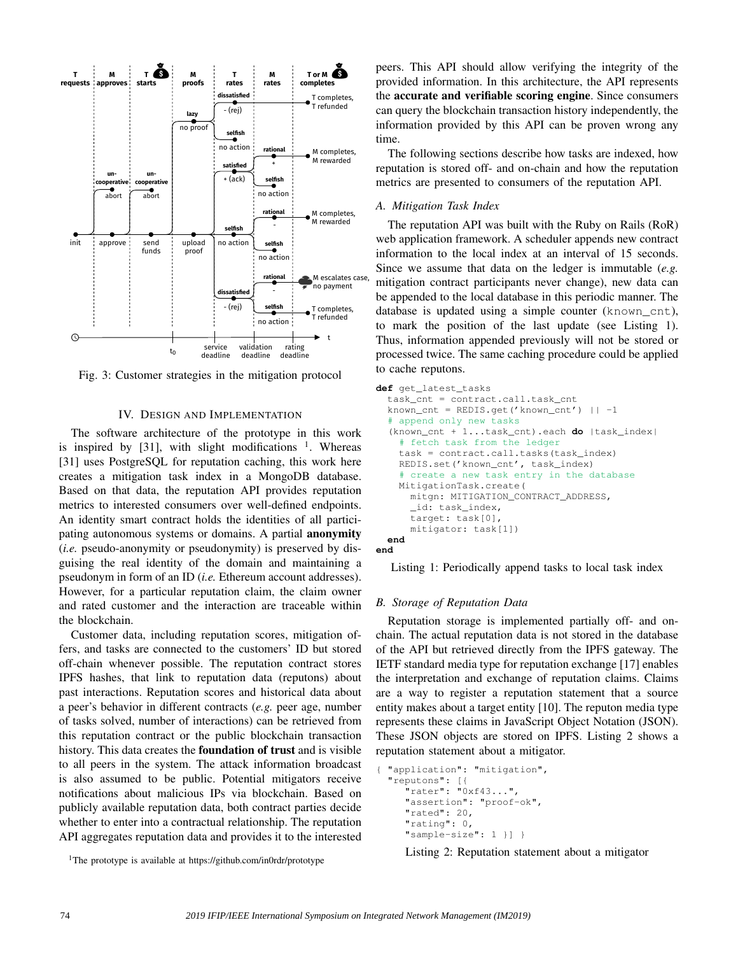

Fig. 3: Customer strategies in the mitigation protocol

# IV. DESIGN AND IMPLEMENTATION

The software architecture of the prototype in this work is inspired by [31], with slight modifications  $1$ . Whereas [31] uses PostgreSQL for reputation caching, this work here creates a mitigation task index in a MongoDB database. Based on that data, the reputation API provides reputation metrics to interested consumers over well-defined endpoints. An identity smart contract holds the identities of all participating autonomous systems or domains. A partial **anonymity** (*i.e.* pseudo-anonymity or pseudonymity) is preserved by disguising the real identity of the domain and maintaining a pseudonym in form of an ID (*i.e.* Ethereum account addresses). However, for a particular reputation claim, the claim owner and rated customer and the interaction are traceable within the blockchain.

Customer data, including reputation scores, mitigation offers, and tasks are connected to the customers' ID but stored off-chain whenever possible. The reputation contract stores IPFS hashes, that link to reputation data (reputons) about past interactions. Reputation scores and historical data about a peer's behavior in different contracts (*e.g.* peer age, number of tasks solved, number of interactions) can be retrieved from this reputation contract or the public blockchain transaction history. This data creates the foundation of trust and is visible to all peers in the system. The attack information broadcast is also assumed to be public. Potential mitigators receive notifications about malicious IPs via blockchain. Based on publicly available reputation data, both contract parties decide whether to enter into a contractual relationship. The reputation API aggregates reputation data and provides it to the interested

<sup>1</sup>The prototype is available at https://github.com/in0rdr/prototype

peers. This API should allow verifying the integrity of the provided information. In this architecture, the API represents the accurate and verifiable scoring engine. Since consumers can query the blockchain transaction history independently, the information provided by this API can be proven wrong any time.

The following sections describe how tasks are indexed, how reputation is stored off- and on-chain and how the reputation metrics are presented to consumers of the reputation API.

# *A. Mitigation Task Index*

The reputation API was built with the Ruby on Rails (RoR) web application framework. A scheduler appends new contract information to the local index at an interval of 15 seconds. Since we assume that data on the ledger is immutable (*e.g.* mitigation contract participants never change), new data can be appended to the local database in this periodic manner. The database is updated using a simple counter (known\_cnt), to mark the position of the last update (see Listing 1). Thus, information appended previously will not be stored or processed twice. The same caching procedure could be applied to cache reputons.

```
def get_latest_tasks
  task_cnt = contract.call.task_cnt
  known_cnt = REDIS.get('known_cnt') || -1
   append only new tasks
  (known_cnt + 1...task_cnt).each do |task_index|
    # fetch task from the ledger
    task = contract.call.tasks(task_index)
    REDIS.set('known_cnt', task_index)
    # create a new task entry in the database
    MitigationTask.create(
      mitgn: MITIGATION_CONTRACT_ADDRESS,
      _id: task_index,
      target: task[0],
      mitigator: task[1])
  end
end
```
Listing 1: Periodically append tasks to local task index

# *B. Storage of Reputation Data*

Reputation storage is implemented partially off- and onchain. The actual reputation data is not stored in the database of the API but retrieved directly from the IPFS gateway. The IETF standard media type for reputation exchange [17] enables the interpretation and exchange of reputation claims. Claims are a way to register a reputation statement that a source entity makes about a target entity [10]. The reputon media type represents these claims in JavaScript Object Notation (JSON). These JSON objects are stored on IPFS. Listing 2 shows a reputation statement about a mitigator.

```
{ "application": "mitigation",
"reputons": [{
   .<br>"rater": "0xf43...",
   "assertion": "proof-ok",
   "rated": 20,
   "rating": 0,
   "sample-size": 1 }] }
```
Listing 2: Reputation statement about a mitigator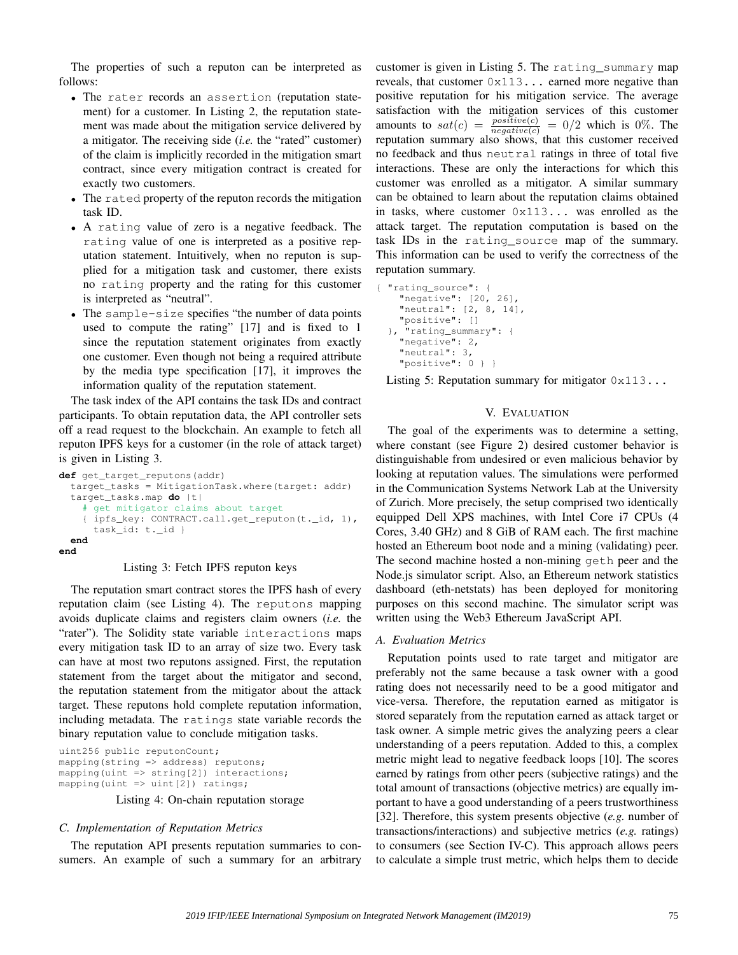The properties of such a reputon can be interpreted as follows:

- The rater records an assertion (reputation statement) for a customer. In Listing 2, the reputation statement was made about the mitigation service delivered by a mitigator. The receiving side (*i.e.* the "rated" customer) of the claim is implicitly recorded in the mitigation smart contract, since every mitigation contract is created for exactly two customers.
- The rated property of the reputon records the mitigation task ID.
- A rating value of zero is a negative feedback. The rating value of one is interpreted as a positive reputation statement. Intuitively, when no reputon is supplied for a mitigation task and customer, there exists no rating property and the rating for this customer is interpreted as "neutral".
- The sample-size specifies "the number of data points" used to compute the rating" [17] and is fixed to 1 since the reputation statement originates from exactly one customer. Even though not being a required attribute by the media type specification [17], it improves the information quality of the reputation statement.

The task index of the API contains the task IDs and contract participants. To obtain reputation data, the API controller sets off a read request to the blockchain. An example to fetch all reputon IPFS keys for a customer (in the role of attack target) is given in Listing 3.

```
def get_target_reputons(addr)
  target_tasks = MitigationTask.where(target: addr)
  target_tasks.map do |t|
     get mitigator claims about target
    { ipfs_key: CONTRACT.call.get_reputon(t._id, 1),
      task_id: t._id }
  end
end
```
#### Listing 3: Fetch IPFS reputon keys

The reputation smart contract stores the IPFS hash of every reputation claim (see Listing 4). The reputons mapping avoids duplicate claims and registers claim owners (*i.e.* the "rater"). The Solidity state variable interactions maps every mitigation task ID to an array of size two. Every task can have at most two reputons assigned. First, the reputation statement from the target about the mitigator and second, the reputation statement from the mitigator about the attack target. These reputons hold complete reputation information, including metadata. The ratings state variable records the binary reputation value to conclude mitigation tasks.

```
uint256 public reputonCount;
mapping(string => address) reputons;
mapping(uint => string[2]) interactions;
mapping(uint => uint[2]) ratings;
```
Listing 4: On-chain reputation storage

# *C. Implementation of Reputation Metrics*

The reputation API presents reputation summaries to consumers. An example of such a summary for an arbitrary customer is given in Listing 5. The rating\_summary map reveals, that customer 0x113... earned more negative than positive reputation for his mitigation service. The average satisfaction with the mitigation services of this customer amounts to  $sat(c) = \frac{positive(c)}{negative(c)} = 0/2$  which is 0%. The reputation summary also shows, that this customer received no feedback and thus neutral ratings in three of total five interactions. These are only the interactions for which this customer was enrolled as a mitigator. A similar summary can be obtained to learn about the reputation claims obtained in tasks, where customer 0x113... was enrolled as the attack target. The reputation computation is based on the task IDs in the rating\_source map of the summary. This information can be used to verify the correctness of the reputation summary.

```
{ "rating_source": {
    "negative": [20, 26],
    "neutral": [2, 8, 14],
    "positive": []
  }, "rating_summary": {
    "negative": 2,
    "neutral": 3,
    "positive": 0 } }
```
Listing 5: Reputation summary for mitigator  $0 \times 113$ ...

#### V. EVALUATION

The goal of the experiments was to determine a setting, where constant (see Figure 2) desired customer behavior is distinguishable from undesired or even malicious behavior by looking at reputation values. The simulations were performed in the Communication Systems Network Lab at the University of Zurich. More precisely, the setup comprised two identically equipped Dell XPS machines, with Intel Core i7 CPUs (4 Cores, 3.40 GHz) and 8 GiB of RAM each. The first machine hosted an Ethereum boot node and a mining (validating) peer. The second machine hosted a non-mining geth peer and the Node.js simulator script. Also, an Ethereum network statistics dashboard (eth-netstats) has been deployed for monitoring purposes on this second machine. The simulator script was written using the Web3 Ethereum JavaScript API.

#### *A. Evaluation Metrics*

Reputation points used to rate target and mitigator are preferably not the same because a task owner with a good rating does not necessarily need to be a good mitigator and vice-versa. Therefore, the reputation earned as mitigator is stored separately from the reputation earned as attack target or task owner. A simple metric gives the analyzing peers a clear understanding of a peers reputation. Added to this, a complex metric might lead to negative feedback loops [10]. The scores earned by ratings from other peers (subjective ratings) and the total amount of transactions (objective metrics) are equally important to have a good understanding of a peers trustworthiness [32]. Therefore, this system presents objective (*e.g.* number of transactions/interactions) and subjective metrics (*e.g.* ratings) to consumers (see Section IV-C). This approach allows peers to calculate a simple trust metric, which helps them to decide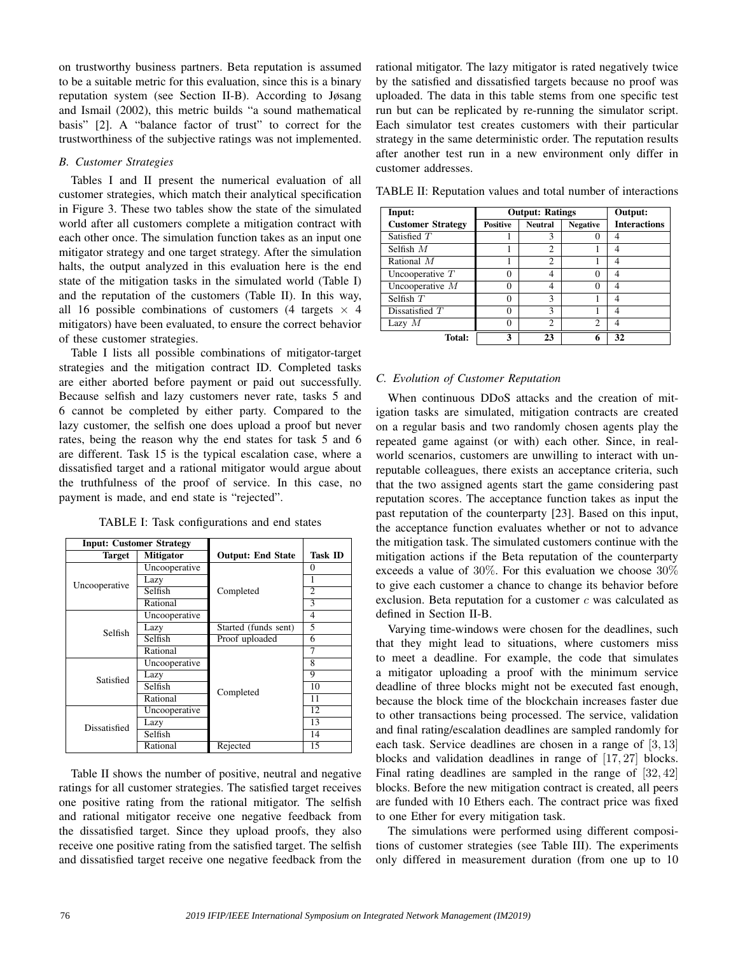on trustworthy business partners. Beta reputation is assumed to be a suitable metric for this evaluation, since this is a binary reputation system (see Section II-B). According to Jøsang and Ismail (2002), this metric builds "a sound mathematical basis" [2]. A "balance factor of trust" to correct for the trustworthiness of the subjective ratings was not implemented.

## *B. Customer Strategies*

Tables I and II present the numerical evaluation of all customer strategies, which match their analytical specification in Figure 3. These two tables show the state of the simulated world after all customers complete a mitigation contract with each other once. The simulation function takes as an input one mitigator strategy and one target strategy. After the simulation halts, the output analyzed in this evaluation here is the end state of the mitigation tasks in the simulated world (Table I) and the reputation of the customers (Table II). In this way, all 16 possible combinations of customers (4 targets  $\times$  4 mitigators) have been evaluated, to ensure the correct behavior of these customer strategies.

Table I lists all possible combinations of mitigator-target strategies and the mitigation contract ID. Completed tasks are either aborted before payment or paid out successfully. Because selfish and lazy customers never rate, tasks 5 and 6 cannot be completed by either party. Compared to the lazy customer, the selfish one does upload a proof but never rates, being the reason why the end states for task 5 and 6 are different. Task 15 is the typical escalation case, where a dissatisfied target and a rational mitigator would argue about the truthfulness of the proof of service. In this case, no payment is made, and end state is "rejected".

|  | TABLE I: Task configurations and end states |  |  |
|--|---------------------------------------------|--|--|
|--|---------------------------------------------|--|--|

| <b>Input: Customer Strategy</b> |                  |                          |                |
|---------------------------------|------------------|--------------------------|----------------|
| <b>Target</b>                   | <b>Mitigator</b> | <b>Output: End State</b> | <b>Task ID</b> |
| Uncooperative                   | Uncooperative    |                          | 0              |
|                                 | Lazy             |                          | 1              |
|                                 | Selfish          | Completed                | $\overline{c}$ |
|                                 | Rational         |                          | 3              |
| Selfish                         | Uncooperative    |                          | 4              |
|                                 | Lazy             | Started (funds sent)     | $\overline{5}$ |
|                                 | Selfish          | Proof uploaded           | 6              |
|                                 | Rational         |                          | 7              |
| Satisfied                       | Uncooperative    |                          | 8              |
|                                 | Lazy             |                          | 9              |
|                                 | Selfish          | Completed                | 10             |
|                                 | Rational         |                          | 11             |
| Dissatisfied                    | Uncooperative    |                          | 12             |
|                                 | Lazy             |                          | 13             |
|                                 | Selfish          |                          | 14             |
|                                 | Rational         | Rejected                 | 15             |

Table II shows the number of positive, neutral and negative ratings for all customer strategies. The satisfied target receives one positive rating from the rational mitigator. The selfish and rational mitigator receive one negative feedback from the dissatisfied target. Since they upload proofs, they also receive one positive rating from the satisfied target. The selfish and dissatisfied target receive one negative feedback from the rational mitigator. The lazy mitigator is rated negatively twice by the satisfied and dissatisfied targets because no proof was uploaded. The data in this table stems from one specific test run but can be replicated by re-running the simulator script. Each simulator test creates customers with their particular strategy in the same deterministic order. The reputation results after another test run in a new environment only differ in customer addresses.

TABLE II: Reputation values and total number of interactions

| Input:                   | <b>Output: Ratings</b> |                |                 | Output:             |
|--------------------------|------------------------|----------------|-----------------|---------------------|
| <b>Customer Strategy</b> | <b>Positive</b>        | <b>Neutral</b> | <b>Negative</b> | <b>Interactions</b> |
| Satisfied $T$            |                        | 3              | O               | 4                   |
| Selfish $M$              |                        | $\overline{c}$ |                 |                     |
| Rational M               |                        | $\overline{c}$ |                 |                     |
| Uncooperative $T$        |                        | 4              | 0               |                     |
| Uncooperative $M$        | O                      | 4              | $\Omega$        |                     |
| Selfish $T$              |                        | 3              |                 |                     |
| Dissatisfied $T$         | 0                      | 3              |                 |                     |
| Lazy $M$                 | 0                      | $\overline{c}$ | 2               |                     |
| Total:                   | 3                      | 23             | 6               | 32                  |

# *C. Evolution of Customer Reputation*

When continuous DDoS attacks and the creation of mitigation tasks are simulated, mitigation contracts are created on a regular basis and two randomly chosen agents play the repeated game against (or with) each other. Since, in realworld scenarios, customers are unwilling to interact with unreputable colleagues, there exists an acceptance criteria, such that the two assigned agents start the game considering past reputation scores. The acceptance function takes as input the past reputation of the counterparty [23]. Based on this input, the acceptance function evaluates whether or not to advance the mitigation task. The simulated customers continue with the mitigation actions if the Beta reputation of the counterparty exceeds a value of 30%. For this evaluation we choose 30% to give each customer a chance to change its behavior before exclusion. Beta reputation for a customer  $c$  was calculated as defined in Section II-B.

Varying time-windows were chosen for the deadlines, such that they might lead to situations, where customers miss to meet a deadline. For example, the code that simulates a mitigator uploading a proof with the minimum service deadline of three blocks might not be executed fast enough, because the block time of the blockchain increases faster due to other transactions being processed. The service, validation and final rating/escalation deadlines are sampled randomly for each task. Service deadlines are chosen in a range of [3, 13] blocks and validation deadlines in range of [17, 27] blocks. Final rating deadlines are sampled in the range of [32, 42] blocks. Before the new mitigation contract is created, all peers are funded with 10 Ethers each. The contract price was fixed to one Ether for every mitigation task.

The simulations were performed using different compositions of customer strategies (see Table III). The experiments only differed in measurement duration (from one up to 10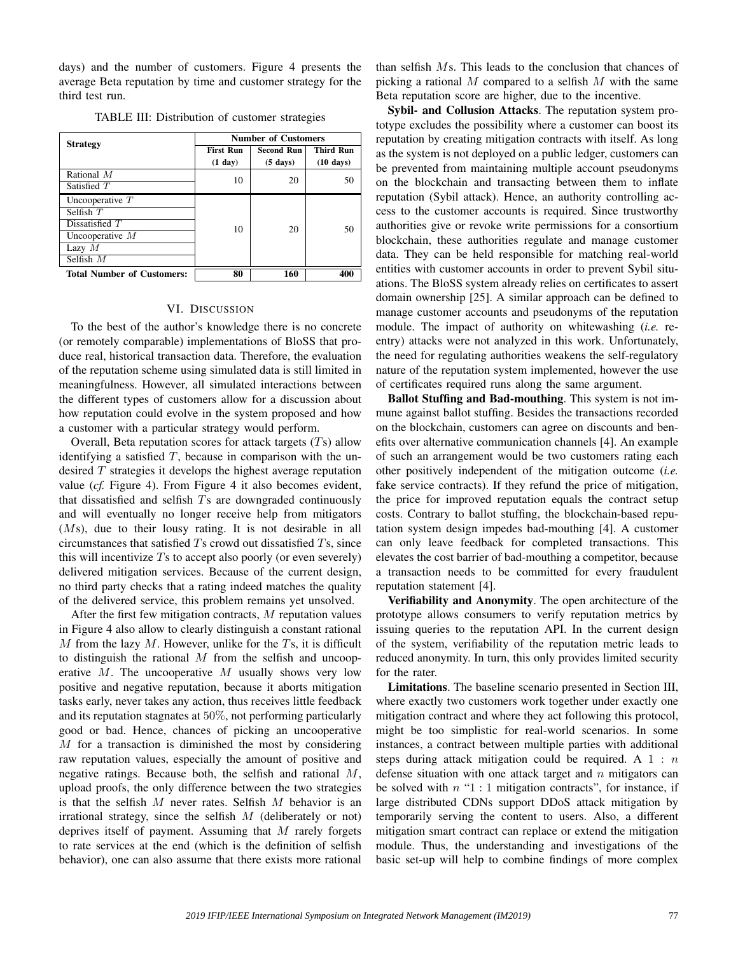days) and the number of customers. Figure 4 presents the average Beta reputation by time and customer strategy for the third test run.

| <b>Strategy</b>                                                                                      | <b>Number of Customers</b>    |                                         |                                         |
|------------------------------------------------------------------------------------------------------|-------------------------------|-----------------------------------------|-----------------------------------------|
|                                                                                                      | <b>First Run</b><br>$(1$ day) | <b>Second Run</b><br>$(5 \text{ days})$ | <b>Third Run</b><br>$(10 \text{ days})$ |
| Rational $M$<br>Satisfied $T$                                                                        | 10                            | 20                                      | 50                                      |
| Uncooperative $T$<br>Selfish $T$<br>Dissatisfied $T$<br>Uncooperative $M$<br>Lazy $M$<br>Selfish $M$ | 10                            | 20                                      | 50                                      |
| <b>Total Number of Customers:</b>                                                                    | 80                            | 160                                     | 400                                     |

TABLE III: Distribution of customer strategies

#### VI. DISCUSSION

To the best of the author's knowledge there is no concrete (or remotely comparable) implementations of BloSS that produce real, historical transaction data. Therefore, the evaluation of the reputation scheme using simulated data is still limited in meaningfulness. However, all simulated interactions between the different types of customers allow for a discussion about how reputation could evolve in the system proposed and how a customer with a particular strategy would perform.

Overall, Beta reputation scores for attack targets  $(Ts)$  allow identifying a satisfied  $T$ , because in comparison with the undesired  $T$  strategies it develops the highest average reputation value (*cf.* Figure 4). From Figure 4 it also becomes evident, that dissatisfied and selfish  $T_s$  are downgraded continuously and will eventually no longer receive help from mitigators (Ms), due to their lousy rating. It is not desirable in all circumstances that satisfied  $T_s$  crowd out dissatisfied  $T_s$ , since this will incentivize  $T<sub>s</sub>$  to accept also poorly (or even severely) delivered mitigation services. Because of the current design, no third party checks that a rating indeed matches the quality of the delivered service, this problem remains yet unsolved.

After the first few mitigation contracts,  $M$  reputation values in Figure 4 also allow to clearly distinguish a constant rational  $M$  from the lazy  $M$ . However, unlike for the  $T_s$ , it is difficult to distinguish the rational  $M$  from the selfish and uncooperative  $M$ . The uncooperative  $M$  usually shows very low positive and negative reputation, because it aborts mitigation tasks early, never takes any action, thus receives little feedback and its reputation stagnates at 50%, not performing particularly good or bad. Hence, chances of picking an uncooperative M for a transaction is diminished the most by considering raw reputation values, especially the amount of positive and negative ratings. Because both, the selfish and rational M, upload proofs, the only difference between the two strategies is that the selfish  $M$  never rates. Selfish  $M$  behavior is an irrational strategy, since the selfish  $M$  (deliberately or not) deprives itself of payment. Assuming that  $M$  rarely forgets to rate services at the end (which is the definition of selfish behavior), one can also assume that there exists more rational

than selfish Ms. This leads to the conclusion that chances of picking a rational  $M$  compared to a selfish  $M$  with the same Beta reputation score are higher, due to the incentive.

Sybil- and Collusion Attacks. The reputation system prototype excludes the possibility where a customer can boost its reputation by creating mitigation contracts with itself. As long as the system is not deployed on a public ledger, customers can be prevented from maintaining multiple account pseudonyms on the blockchain and transacting between them to inflate reputation (Sybil attack). Hence, an authority controlling access to the customer accounts is required. Since trustworthy authorities give or revoke write permissions for a consortium blockchain, these authorities regulate and manage customer data. They can be held responsible for matching real-world entities with customer accounts in order to prevent Sybil situations. The BloSS system already relies on certificates to assert domain ownership [25]. A similar approach can be defined to manage customer accounts and pseudonyms of the reputation module. The impact of authority on whitewashing (*i.e.* reentry) attacks were not analyzed in this work. Unfortunately, the need for regulating authorities weakens the self-regulatory nature of the reputation system implemented, however the use of certificates required runs along the same argument.

Ballot Stuffing and Bad-mouthing. This system is not immune against ballot stuffing. Besides the transactions recorded on the blockchain, customers can agree on discounts and benefits over alternative communication channels [4]. An example of such an arrangement would be two customers rating each other positively independent of the mitigation outcome (*i.e.* fake service contracts). If they refund the price of mitigation, the price for improved reputation equals the contract setup costs. Contrary to ballot stuffing, the blockchain-based reputation system design impedes bad-mouthing [4]. A customer can only leave feedback for completed transactions. This elevates the cost barrier of bad-mouthing a competitor, because a transaction needs to be committed for every fraudulent reputation statement [4].

Verifiability and Anonymity. The open architecture of the prototype allows consumers to verify reputation metrics by issuing queries to the reputation API. In the current design of the system, verifiability of the reputation metric leads to reduced anonymity. In turn, this only provides limited security for the rater.

Limitations. The baseline scenario presented in Section III, where exactly two customers work together under exactly one mitigation contract and where they act following this protocol, might be too simplistic for real-world scenarios. In some instances, a contract between multiple parties with additional steps during attack mitigation could be required. A  $1 : n$ defense situation with one attack target and  $n$  mitigators can be solved with  $n$  "1 : 1 mitigation contracts", for instance, if large distributed CDNs support DDoS attack mitigation by temporarily serving the content to users. Also, a different mitigation smart contract can replace or extend the mitigation module. Thus, the understanding and investigations of the basic set-up will help to combine findings of more complex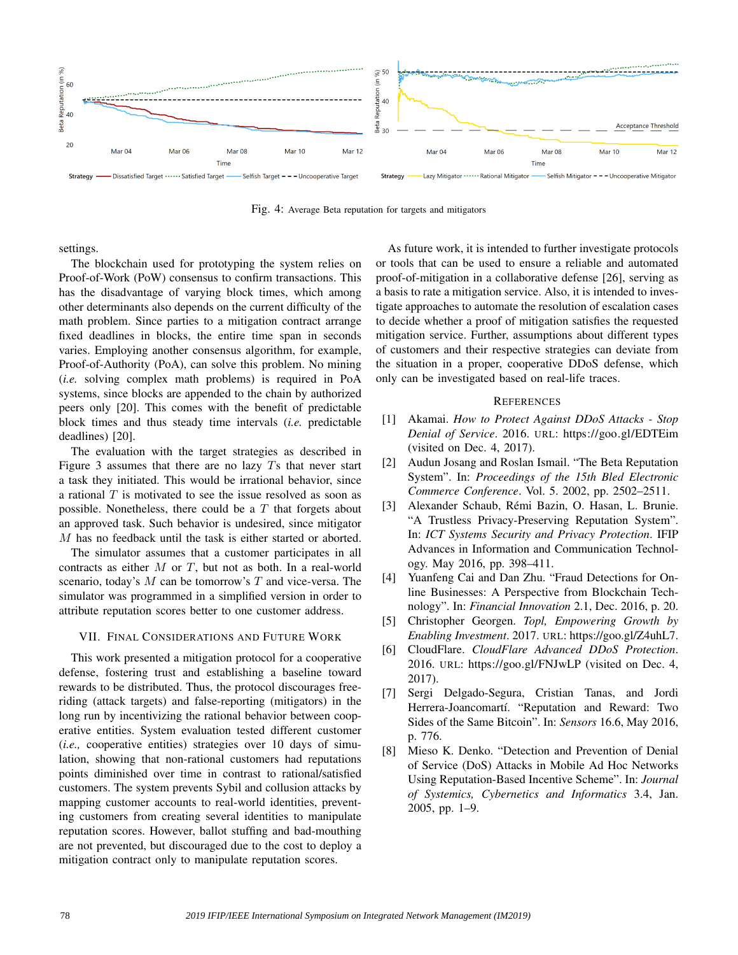

Fig. 4: Average Beta reputation for targets and mitigators

settings.

The blockchain used for prototyping the system relies on Proof-of-Work (PoW) consensus to confirm transactions. This has the disadvantage of varying block times, which among other determinants also depends on the current difficulty of the math problem. Since parties to a mitigation contract arrange fixed deadlines in blocks, the entire time span in seconds varies. Employing another consensus algorithm, for example, Proof-of-Authority (PoA), can solve this problem. No mining (*i.e.* solving complex math problems) is required in PoA systems, since blocks are appended to the chain by authorized peers only [20]. This comes with the benefit of predictable block times and thus steady time intervals (*i.e.* predictable deadlines) [20].

The evaluation with the target strategies as described in Figure 3 assumes that there are no lazy  $T_s$  that never start a task they initiated. This would be irrational behavior, since a rational  $T$  is motivated to see the issue resolved as soon as possible. Nonetheless, there could be a  $T$  that forgets about an approved task. Such behavior is undesired, since mitigator M has no feedback until the task is either started or aborted.

The simulator assumes that a customer participates in all contracts as either  $M$  or  $T$ , but not as both. In a real-world scenario, today's  $M$  can be tomorrow's  $T$  and vice-versa. The simulator was programmed in a simplified version in order to attribute reputation scores better to one customer address.

# VII. FINAL CONSIDERATIONS AND FUTURE WORK

This work presented a mitigation protocol for a cooperative defense, fostering trust and establishing a baseline toward rewards to be distributed. Thus, the protocol discourages freeriding (attack targets) and false-reporting (mitigators) in the long run by incentivizing the rational behavior between cooperative entities. System evaluation tested different customer (*i.e.,* cooperative entities) strategies over 10 days of simulation, showing that non-rational customers had reputations points diminished over time in contrast to rational/satisfied customers. The system prevents Sybil and collusion attacks by mapping customer accounts to real-world identities, preventing customers from creating several identities to manipulate reputation scores. However, ballot stuffing and bad-mouthing are not prevented, but discouraged due to the cost to deploy a mitigation contract only to manipulate reputation scores.

As future work, it is intended to further investigate protocols or tools that can be used to ensure a reliable and automated proof-of-mitigation in a collaborative defense [26], serving as a basis to rate a mitigation service. Also, it is intended to investigate approaches to automate the resolution of escalation cases to decide whether a proof of mitigation satisfies the requested mitigation service. Further, assumptions about different types of customers and their respective strategies can deviate from the situation in a proper, cooperative DDoS defense, which only can be investigated based on real-life traces.

#### **REFERENCES**

- [1] Akamai. *How to Protect Against DDoS Attacks Stop Denial of Service*. 2016. URL: https://goo.gl/EDTEim (visited on Dec. 4, 2017).
- [2] Audun Josang and Roslan Ismail. "The Beta Reputation System". In: *Proceedings of the 15th Bled Electronic Commerce Conference*. Vol. 5. 2002, pp. 2502–2511.
- [3] Alexander Schaub, Rémi Bazin, O. Hasan, L. Brunie. "A Trustless Privacy-Preserving Reputation System". In: *ICT Systems Security and Privacy Protection*. IFIP Advances in Information and Communication Technology. May 2016, pp. 398–411.
- [4] Yuanfeng Cai and Dan Zhu. "Fraud Detections for Online Businesses: A Perspective from Blockchain Technology". In: *Financial Innovation* 2.1, Dec. 2016, p. 20.
- [5] Christopher Georgen. *Topl, Empowering Growth by Enabling Investment*. 2017. URL: https://goo.gl/Z4uhL7.
- [6] CloudFlare. *CloudFlare Advanced DDoS Protection*. 2016. URL: https://goo.gl/FNJwLP (visited on Dec. 4, 2017).
- [7] Sergi Delgado-Segura, Cristian Tanas, and Jordi Herrera-Joancomartí. "Reputation and Reward: Two Sides of the Same Bitcoin". In: *Sensors* 16.6, May 2016, p. 776.
- [8] Mieso K. Denko. "Detection and Prevention of Denial of Service (DoS) Attacks in Mobile Ad Hoc Networks Using Reputation-Based Incentive Scheme". In: *Journal of Systemics, Cybernetics and Informatics* 3.4, Jan. 2005, pp. 1–9.